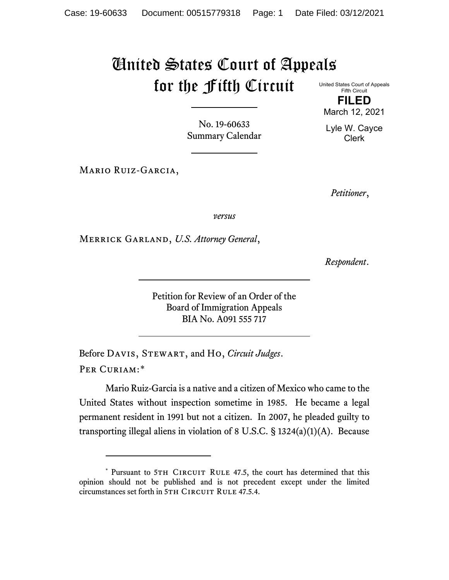# United States Court of Appeals for the Fifth Circuit United States Court of Appeals

No. 19-60633 Summary Calendar

Fifth Circuit **FILED**

March 12, 2021

Lyle W. Cayce Clerk

Mario Ruiz-Garcia,

*Petitioner*,

*versus*

Merrick Garland, *U.S. Attorney General*,

*Respondent*.

Petition for Review of an Order of the Board of Immigration Appeals BIA No. A091 555 717

Before Davis, Stewart, and Ho, *Circuit Judges*. Per Curiam:[\\*](#page-0-0)

Mario Ruiz-Garcia is a native and a citizen of Mexico who came to the United States without inspection sometime in 1985. He became a legal permanent resident in 1991 but not a citizen. In 2007, he pleaded guilty to transporting illegal aliens in violation of 8 U.S.C.  $\S$  1324(a)(1)(A). Because

<span id="page-0-0"></span><sup>\*</sup> Pursuant to 5TH CIRCUIT RULE 47.5, the court has determined that this opinion should not be published and is not precedent except under the limited circumstances set forth in 5TH CIRCUIT RULE 47.5.4.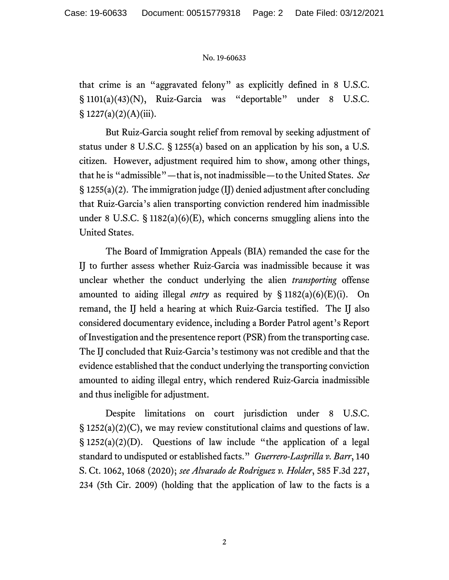that crime is an "aggravated felony" as explicitly defined in 8 U.S.C. § 1101(a)(43)(N), Ruiz-Garcia was "deportable" under 8 U.S.C. § 1227(a)(2)(A)(iii).

But Ruiz-Garcia sought relief from removal by seeking adjustment of status under 8 U.S.C. § 1255(a) based on an application by his son, a U.S. citizen. However, adjustment required him to show, among other things, that he is "admissible"—that is, not inadmissible—to the United States. *See* § 1255(a)(2). The immigration judge (IJ) denied adjustment after concluding that Ruiz-Garcia's alien transporting conviction rendered him inadmissible under 8 U.S.C.  $\S$  1182(a)(6)(E), which concerns smuggling aliens into the United States.

The Board of Immigration Appeals (BIA) remanded the case for the IJ to further assess whether Ruiz-Garcia was inadmissible because it was unclear whether the conduct underlying the alien *transporting* offense amounted to aiding illegal *entry* as required by § 1182(a)(6)(E)(i). On remand, the IJ held a hearing at which Ruiz-Garcia testified. The IJ also considered documentary evidence, including a Border Patrol agent's Report of Investigation and the presentence report (PSR) from the transporting case. The IJ concluded that Ruiz-Garcia's testimony was not credible and that the evidence established that the conduct underlying the transporting conviction amounted to aiding illegal entry, which rendered Ruiz-Garcia inadmissible and thus ineligible for adjustment.

Despite limitations on court jurisdiction under 8 U.S.C.  $\S 1252(a)(2)(C)$ , we may review constitutional claims and questions of law. § 1252(a)(2)(D). Questions of law include "the application of a legal standard to undisputed or established facts." *Guerrero-Lasprilla v. Barr*, 140 S. Ct. 1062, 1068 (2020); *see Alvarado de Rodriguez v. Holder*, 585 F.3d 227, 234 (5th Cir. 2009) (holding that the application of law to the facts is a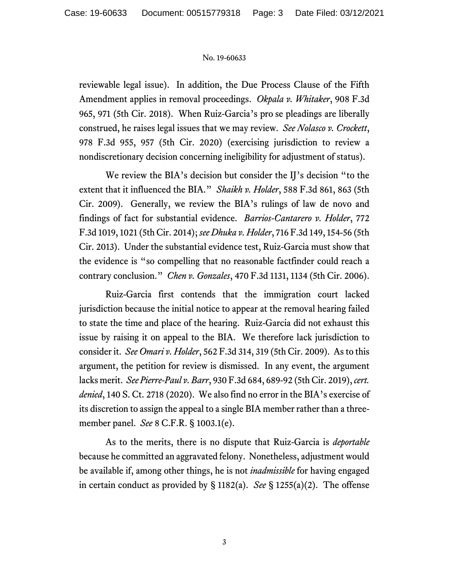reviewable legal issue). In addition, the Due Process Clause of the Fifth Amendment applies in removal proceedings. *Okpala v. Whitaker*, 908 F.3d 965, 971 (5th Cir. 2018). When Ruiz-Garcia's pro se pleadings are liberally construed, he raises legal issues that we may review. *See Nolasco v. Crockett*, 978 F.3d 955, 957 (5th Cir. 2020) (exercising jurisdiction to review a nondiscretionary decision concerning ineligibility for adjustment of status).

We review the BIA's decision but consider the IJ's decision "to the extent that it influenced the BIA." *Shaikh v. Holder*, 588 F.3d 861, 863 (5th Cir. 2009). Generally, we review the BIA's rulings of law de novo and findings of fact for substantial evidence. *Barrios-Cantarero v. Holder*, 772 F.3d 1019, 1021 (5th Cir. 2014); *see Dhuka v. Holder*, 716 F.3d 149, 154-56 (5th Cir. 2013). Under the substantial evidence test, Ruiz-Garcia must show that the evidence is "so compelling that no reasonable factfinder could reach a contrary conclusion." *Chen v. Gonzales*, 470 F.3d 1131, 1134 (5th Cir. 2006).

Ruiz-Garcia first contends that the immigration court lacked jurisdiction because the initial notice to appear at the removal hearing failed to state the time and place of the hearing. Ruiz-Garcia did not exhaust this issue by raising it on appeal to the BIA. We therefore lack jurisdiction to consider it. *See Omari v. Holder*, 562 F.3d 314, 319 (5th Cir. 2009). As to this argument, the petition for review is dismissed. In any event, the argument lacks merit. *See Pierre-Paul v. Barr*, 930 F.3d 684, 689-92 (5th Cir. 2019), *cert. denied*, 140 S. Ct. 2718 (2020). We also find no error in the BIA's exercise of its discretion to assign the appeal to a single BIA member rather than a threemember panel. *See* 8 C.F.R. § 1003.1(e).

As to the merits, there is no dispute that Ruiz-Garcia is *deportable* because he committed an aggravated felony. Nonetheless, adjustment would be available if, among other things, he is not *inadmissible* for having engaged in certain conduct as provided by § 1182(a). *See* § 1255(a)(2). The offense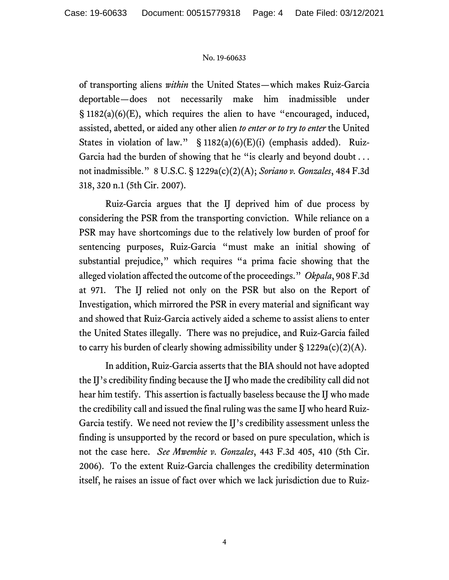of transporting aliens *within* the United States—which makes Ruiz-Garcia deportable—does not necessarily make him inadmissible under § 1182(a)(6)(E), which requires the alien to have "encouraged, induced, assisted, abetted, or aided any other alien *to enter or to try to enter* the United States in violation of law." § 1182(a)(6)(E)(i) (emphasis added). Ruiz-Garcia had the burden of showing that he "is clearly and beyond doubt ... not inadmissible." 8 U.S.C. § 1229a(c)(2)(A); *Soriano v. Gonzales*, 484 F.3d 318, 320 n.1 (5th Cir. 2007).

Ruiz-Garcia argues that the IJ deprived him of due process by considering the PSR from the transporting conviction. While reliance on a PSR may have shortcomings due to the relatively low burden of proof for sentencing purposes, Ruiz-Garcia "must make an initial showing of substantial prejudice," which requires "a prima facie showing that the alleged violation affected the outcome of the proceedings." *Okpala*, 908 F.3d at 971. The IJ relied not only on the PSR but also on the Report of Investigation, which mirrored the PSR in every material and significant way and showed that Ruiz-Garcia actively aided a scheme to assist aliens to enter the United States illegally. There was no prejudice, and Ruiz-Garcia failed to carry his burden of clearly showing admissibility under  $\S 1229a(c)(2)(A)$ .

In addition, Ruiz-Garcia asserts that the BIA should not have adopted the IJ's credibility finding because the IJ who made the credibility call did not hear him testify. This assertion is factually baseless because the IJ who made the credibility call and issued the final ruling was the same IJ who heard Ruiz-Garcia testify. We need not review the IJ's credibility assessment unless the finding is unsupported by the record or based on pure speculation, which is not the case here. *See Mwembie v. Gonzales*, 443 F.3d 405, 410 (5th Cir. 2006). To the extent Ruiz-Garcia challenges the credibility determination itself, he raises an issue of fact over which we lack jurisdiction due to Ruiz-